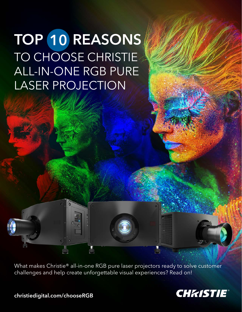# TOP 10 REASONS TO CHOOSE CHRISTIE ALL-IN-ONE RGB PURE LASER PROJECTION

What makes Christie® all-in-one RGB pure laser projectors ready to solve customer challenges and help create unforgettable visual experiences? Read on!



[christiedigital.com/chooseRGB](http://christiedigital.com/chooseRGB)